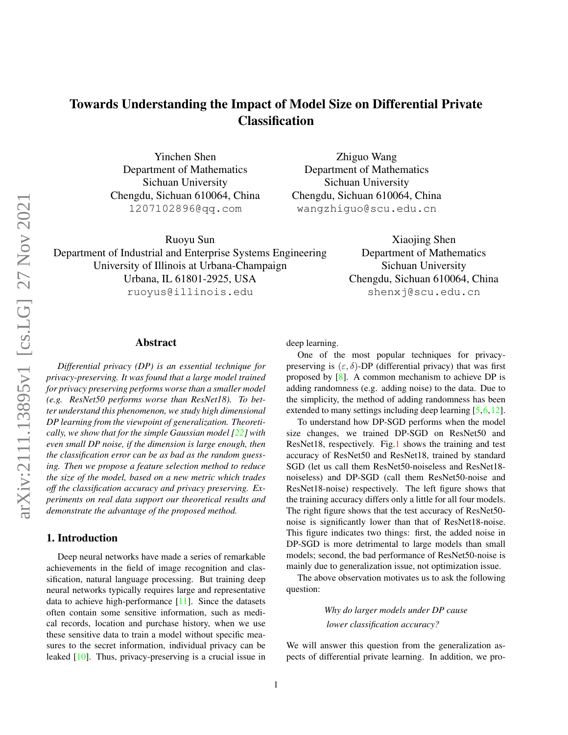<span id="page-0-0"></span>Yinchen Shen Department of Mathematics Sichuan University Chengdu, Sichuan 610064, China 1207102896@qq.com

Zhiguo Wang Department of Mathematics Sichuan University Chengdu, Sichuan 610064, China wangzhiguo@scu.edu.cn

Ruoyu Sun Department of Industrial and Enterprise Systems Engineering University of Illinois at Urbana-Champaign Urbana, IL 61801-2925, USA ruoyus@illinois.edu

Xiaojing Shen Department of Mathematics Sichuan University Chengdu, Sichuan 610064, China shenxj@scu.edu.cn

## Abstract

*Differential privacy (DP) is an essential technique for privacy-preserving. It was found that a large model trained for privacy preserving performs worse than a smaller model (e.g. ResNet50 performs worse than ResNet18). To better understand this phenomenon, we study high dimensional DP learning from the viewpoint of generalization. Theoretically, we show that for the simple Gaussian model [\[22\]](#page-8-0) with even small DP noise, if the dimension is large enough, then the classification error can be as bad as the random guessing. Then we propose a feature selection method to reduce the size of the model, based on a new metric which trades off the classification accuracy and privacy preserving. Experiments on real data support our theoretical results and demonstrate the advantage of the proposed method.*

# 1. Introduction

Deep neural networks have made a series of remarkable achievements in the field of image recognition and classification, natural language processing. But training deep neural networks typically requires large and representative data to achieve high-performance [\[11\]](#page-7-0). Since the datasets often contain some sensitive information, such as medical records, location and purchase history, when we use these sensitive data to train a model without specific measures to the secret information, individual privacy can be leaked [\[10\]](#page-7-1). Thus, privacy-preserving is a crucial issue in deep learning.

One of the most popular techniques for privacypreserving is  $(\varepsilon, \delta)$ -DP (differential privacy) that was first proposed by [\[8\]](#page-7-2). A common mechanism to achieve DP is adding randomness (e.g. adding noise) to the data. Due to the simplicity, the method of adding randomness has been extended to many settings including deep learning [\[5,](#page-7-3) [6,](#page-7-4) [12\]](#page-7-5).

To understand how DP-SGD performs when the model size changes, we trained DP-SGD on ResNet50 and ResNet18, respectively. Fig[.1](#page-1-0) shows the training and test accuracy of ResNet50 and ResNet18, trained by standard SGD (let us call them ResNet50-noiseless and ResNet18 noiseless) and DP-SGD (call them ResNet50-noise and ResNet18-noise) respectively. The left figure shows that the training accuracy differs only a little for all four models. The right figure shows that the test accuracy of ResNet50 noise is significantly lower than that of ResNet18-noise. This figure indicates two things: first, the added noise in DP-SGD is more detrimental to large models than small models; second, the bad performance of ResNet50-noise is mainly due to generalization issue, not optimization issue.

The above observation motivates us to ask the following question:

> *Why do larger models under DP cause lower classification accuracy?*

We will answer this question from the generalization aspects of differential private learning. In addition, we pro-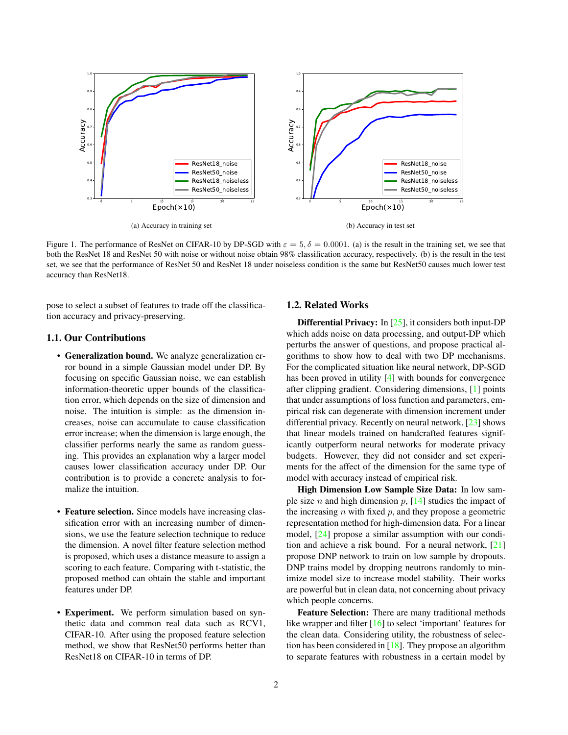<span id="page-1-1"></span><span id="page-1-0"></span>

Figure 1. The performance of ResNet on CIFAR-10 by DP-SGD with  $\varepsilon = 5$ ,  $\delta = 0.0001$ . (a) is the result in the training set, we see that both the ResNet 18 and ResNet 50 with noise or without noise obtain 98% classification accuracy, respectively. (b) is the result in the test set, we see that the performance of ResNet 50 and ResNet 18 under noiseless condition is the same but ResNet50 causes much lower test accuracy than ResNet18.

pose to select a subset of features to trade off the classification accuracy and privacy-preserving.

## 1.1. Our Contributions

- Generalization bound. We analyze generalization error bound in a simple Gaussian model under DP. By focusing on specific Gaussian noise, we can establish information-theoretic upper bounds of the classification error, which depends on the size of dimension and noise. The intuition is simple: as the dimension increases, noise can accumulate to cause classification error increase; when the dimension is large enough, the classifier performs nearly the same as random guessing. This provides an explanation why a larger model causes lower classification accuracy under DP. Our contribution is to provide a concrete analysis to formalize the intuition.
- Feature selection. Since models have increasing classification error with an increasing number of dimensions, we use the feature selection technique to reduce the dimension. A novel filter feature selection method is proposed, which uses a distance measure to assign a scoring to each feature. Comparing with t-statistic, the proposed method can obtain the stable and important features under DP.
- Experiment. We perform simulation based on synthetic data and common real data such as RCV1, CIFAR-10. After using the proposed feature selection method, we show that ResNet50 performs better than ResNet18 on CIFAR-10 in terms of DP.

## 1.2. Related Works

Differential Privacy: In [\[25\]](#page-8-1), it considers both input-DP which adds noise on data processing, and output-DP which perturbs the answer of questions, and propose practical algorithms to show how to deal with two DP mechanisms. For the complicated situation like neural network, DP-SGD has been proved in utility [\[4\]](#page-7-6) with bounds for convergence after clipping gradient. Considering dimensions, [\[1\]](#page-7-7) points that under assumptions of loss function and parameters, empirical risk can degenerate with dimension increment under differential privacy. Recently on neural network, [\[23\]](#page-8-2) shows that linear models trained on handcrafted features significantly outperform neural networks for moderate privacy budgets. However, they did not consider and set experiments for the affect of the dimension for the same type of model with accuracy instead of empirical risk.

High Dimension Low Sample Size Data: In low sample size *n* and high dimension  $p$ , [\[14\]](#page-7-8) studies the impact of the increasing  $n$  with fixed  $p$ , and they propose a geometric representation method for high-dimension data. For a linear model, [\[24\]](#page-8-3) propose a similar assumption with our condition and achieve a risk bound. For a neural network, [\[21\]](#page-7-9) propose DNP network to train on low sample by dropouts. DNP trains model by dropping neutrons randomly to minimize model size to increase model stability. Their works are powerful but in clean data, not concerning about privacy which people concerns.

Feature Selection: There are many traditional methods like wrapper and filter [\[16\]](#page-7-10) to select 'important' features for the clean data. Considering utility, the robustness of selection has been considered in [\[18\]](#page-7-11). They propose an algorithm to separate features with robustness in a certain model by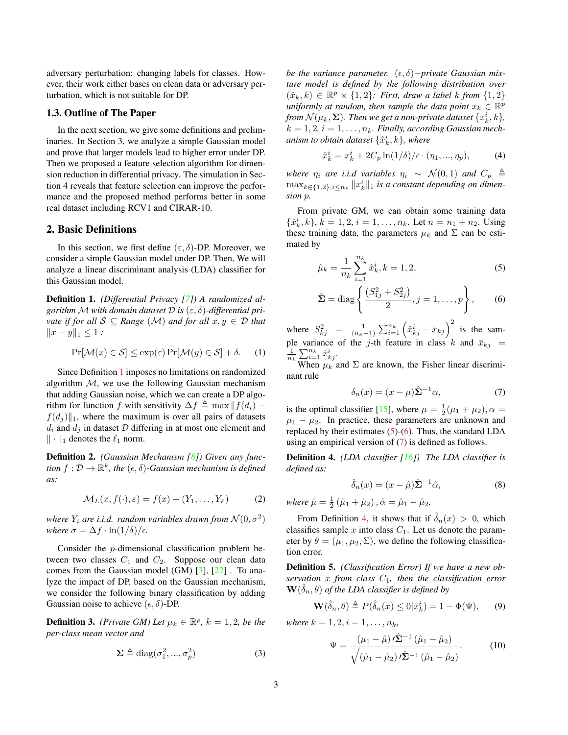<span id="page-2-8"></span>adversary perturbation: changing labels for classes. However, their work either bases on clean data or adversary perturbation, which is not suitable for DP.

#### 1.3. Outline of The Paper

In the next section, we give some definitions and preliminaries. In Section 3, we analyze a simple Gaussian model and prove that larger models lead to higher error under DP. Then we proposed a feature selection algorithm for dimension reduction in differential privacy. The simulation in Section 4 reveals that feature selection can improve the performance and the proposed method performs better in some real dataset including RCV1 and CIRAR-10.

## 2. Basic Definitions

In this section, we first define  $(\varepsilon, \delta)$ -DP. Moreover, we consider a simple Gaussian model under DP. Then, We will analyze a linear discriminant analysis (LDA) classifier for this Gaussian model.

<span id="page-2-0"></span>Definition 1. *(Differential Privacy [\[7\]](#page-7-12)) A randomized algorithm* M with domain dataset  $\mathcal{D}$  is  $(\varepsilon, \delta)$ -differential pri*vate if for all*  $S \subseteq Range(M)$  *and for all*  $x, y \in D$  *that*  $||x - y||_1 \leq 1$  *:* 

$$
\Pr[\mathcal{M}(x) \in \mathcal{S}] \le \exp(\varepsilon) \Pr[\mathcal{M}(y) \in \mathcal{S}] + \delta. \tag{1}
$$

Since Definition [1](#page-2-0) imposes no limitations on randomized algorithm  $M$ , we use the following Gaussian mechanism that adding Gaussian noise, which we can create a DP algorithm for function f with sensitivity  $\Delta f \triangleq \max || f(d_i)$  $f(d_i)$ <sub>1</sub>, where the maximum is over all pairs of datasets  $d_i$  and  $d_j$  in dataset  $D$  differing in at most one element and  $\|\cdot\|_1$  denotes the  $\ell_1$  norm.

Definition 2. *(Gaussian Mechanism [\[8\]](#page-7-2)) Given any func*tion  $f: \mathcal{D} \to \mathbb{R}^k$ , the  $(\epsilon, \delta)$ -Gaussian mechanism is defined *as:*

$$
\mathcal{M}_L(x, f(\cdot), \varepsilon) = f(x) + (Y_1, \dots, Y_k)
$$
 (2)

where  $Y_i$  are i.i.d. random variables drawn from  $\mathcal{N}(0, \sigma^2)$ *where*  $\sigma = \Delta f \cdot \ln(1/\delta)/\epsilon$ .

Consider the p-dimensional classification problem between two classes  $C_1$  and  $C_2$ . Suppose our clean data comes from the Gaussian model (GM) [\[3\]](#page-7-13), [\[22\]](#page-8-0) . To analyze the impact of DP, based on the Gaussian mechanism, we consider the following binary classification by adding Gaussian noise to achieve  $(\epsilon, \delta)$ -DP.

<span id="page-2-7"></span>**Definition 3.** *(Private GM)* Let  $\mu_k \in \mathbb{R}^p$ ,  $k = 1, 2$ , be the *per-class mean vector and*

$$
\Sigma \triangleq \text{diag}(\sigma_1^2, ..., \sigma_p^2)
$$
 (3)

*be the variance parameter.* (ε, δ)−*private Gaussian mixture model is defined by the following distribution over*  $(\hat{x}_k, k) \in \mathbb{R}^p \times \{1, 2\}$ : First, draw a label k from  $\{1, 2\}$ uniformly at random, then sample the data point  $x_k \in \mathbb{R}^p$ from  $\mathcal{N}(\mu_k, \mathbf{\Sigma})$ . Then we get a non-private dataset  $\{x_k^i, k\}$ ,  $k = 1, 2, i = 1, \ldots, n_k$ . Finally, according Gaussian mechanism to obtain dataset  $\{\hat{x}_{k}^{i},k\}$ , where

<span id="page-2-5"></span>
$$
\hat{x}_k^i = x_k^i + 2C_p \ln(1/\delta) / \epsilon \cdot (\eta_1, ..., \eta_p), \tag{4}
$$

*where*  $\eta_i$  *are i.i.d variables*  $\eta_i \sim \mathcal{N}(0, 1)$  *and*  $C_p \triangleq$  $\max_{k \in \{1,2\}, i \leq n_k} ||x_k^i||_1$  is a constant depending on dimen*sion* p*.*

From private GM, we can obtain some training data  $\{\hat{x}_{k}^{i}, k\}, k = 1, 2, i = 1, \ldots, n_{k}$ . Let  $n = n_{1} + n_{2}$ . Using these training data, the parameters  $\mu_k$  and  $\Sigma$  can be estimated by

<span id="page-2-1"></span>
$$
\hat{\mu}_k = \frac{1}{n_k} \sum_{i=1}^{n_k} \hat{x}_k^i, k = 1, 2,
$$
\n(5)

$$
\hat{\Sigma} = \text{diag}\left\{ \frac{(S_{1j}^2 + S_{2j}^2)}{2}, j = 1, ..., p \right\},
$$
 (6)

where  $S_{kj}^2 = \frac{1}{(n_k-1)} \sum_{i=1}^{n_k} (\hat{x}_{kj}^i - \bar{x}_{kj})^2$  is the sample variance of the j-th feature in class k and  $\bar{x}_{kj}$  =  $\frac{1}{n_k} \sum_{i=1}^{n_k} \hat{x}_{kj}^i$ .

When  $\mu_k$  and  $\Sigma$  are known, the Fisher linear discriminant rule

<span id="page-2-3"></span><span id="page-2-2"></span>
$$
\delta_n(x) = (x - \mu)\hat{\Sigma}^{-1}\alpha,\tag{7}
$$

is the optimal classifier [\[15\]](#page-7-14), where  $\mu = \frac{1}{2}(\mu_1 + \mu_2), \alpha =$  $\mu_1 - \mu_2$ . In practice, these parameters are unknown and replaced by their estimates  $(5)-(6)$  $(5)-(6)$  $(5)-(6)$ . Thus, the standard LDA using an empirical version of [\(7\)](#page-2-3) is defined as follows.

<span id="page-2-4"></span>Definition 4. *(LDA classifier [\[16\]](#page-7-10)) The LDA classifier is defined as:*

$$
\hat{\delta}_n(x) = (x - \hat{\mu})\hat{\Sigma}^{-1}\hat{\alpha},\tag{8}
$$

where  $\hat{\mu} = \frac{1}{2} (\hat{\mu}_1 + \hat{\mu}_2), \hat{\alpha} = \hat{\mu}_1 - \hat{\mu}_2.$ 

From Definition [4,](#page-2-4) it shows that if  $\delta_n(x) > 0$ , which classifies sample  $x$  into class  $C_1$ . Let us denote the parameter by  $\theta = (\mu_1, \mu_2, \Sigma)$ , we define the following classification error.

Definition 5. *(Classification Error) If we have a new ob* $s$ *ervation* x from class  $C_1$ , then the classification error  $\mathbf{W}(\hat{\delta}_n, \theta)$  of the LDA classifier is defined by

$$
\mathbf{W}(\hat{\delta}_n, \theta) \triangleq P(\hat{\delta}_n(x) \le 0 | \hat{x}_k^i) = 1 - \Phi(\Psi), \qquad (9)
$$

<span id="page-2-6"></span>*where*  $k = 1, 2, i = 1, \ldots, n_k$ ,

$$
\Psi = \frac{(\mu_1 - \hat{\mu}) \, \iota \hat{\Sigma}^{-1} \, (\hat{\mu}_1 - \hat{\mu}_2)}{\sqrt{(\hat{\mu}_1 - \hat{\mu}_2) \, \iota \hat{\Sigma}^{-1} \, (\hat{\mu}_1 - \hat{\mu}_2)}}.
$$
(10)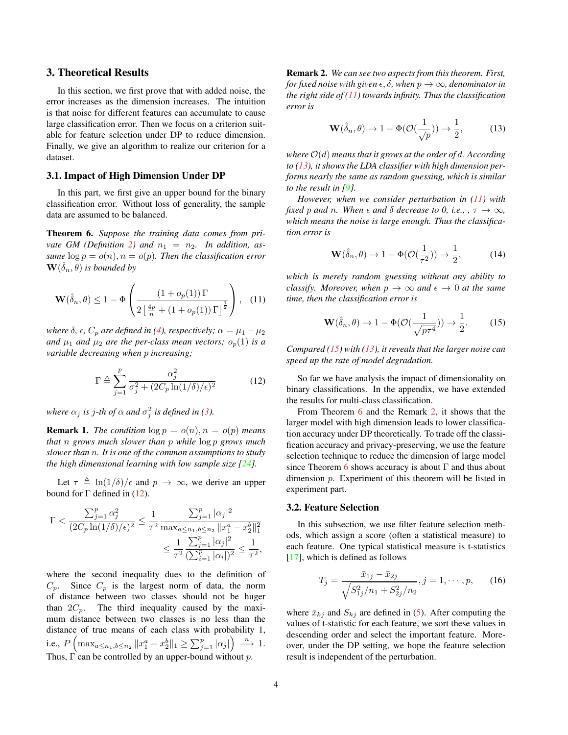## <span id="page-3-6"></span>3. Theoretical Results

In this section, we first prove that with added noise, the error increases as the dimension increases. The intuition is that noise for different features can accumulate to cause large classification error. Then we focus on a criterion suitable for feature selection under DP to reduce dimension. Finally, we give an algorithm to realize our criterion for a dataset.

#### 3.1. Impact of High Dimension Under DP

In this part, we first give an upper bound for the binary classification error. Without loss of generality, the sample data are assumed to be balanced.

<span id="page-3-4"></span>Theorem 6. *Suppose the training data comes from pri-vate GM (Definition [2\)](#page-2-5) and*  $n_1 = n_2$ . In addition, as*sume*  $\log p = o(n)$ ,  $n = o(p)$ *. Then the classification error*  $\mathbf{W}(\hat{\delta}_n, \theta)$  is bounded by

$$
\mathbf{W}(\hat{\delta}_n, \theta) \le 1 - \Phi\left(\frac{\left(1 + o_p(1)\right)\Gamma}{2\left[\frac{4p}{n} + \left(1 + o_p(1)\right)\Gamma\right]^{\frac{1}{2}}}\right), \quad (11)
$$

*where*  $\delta$ *,*  $\epsilon$ *,*  $C_p$  *are defined in [\(4\)](#page-2-5), respectively;*  $\alpha = \mu_1 - \mu_2$ *and*  $\mu_1$  *and*  $\mu_2$  *are the per-class mean vectors;*  $o_p(1)$  *is a variable decreasing when* p *increasing;*

$$
\Gamma \triangleq \sum_{j=1}^{p} \frac{\alpha_j^2}{\sigma_j^2 + (2C_p \ln(1/\delta)/\epsilon)^2}
$$
 (12)

where  $\alpha_j$  *is j-th of*  $\alpha$  *and*  $\sigma_j^2$  *is defined in* [\(3\)](#page-2-6)*.* 

**Remark 1.** *The condition*  $\log p = o(n)$ ,  $n = o(p)$  *means that* n *grows much slower than* p *while* log p *grows much slower than* n*. It is one of the common assumptions to study the high dimensional learning with low sample size [\[24\]](#page-8-3).*

Let  $\tau \triangleq \ln(1/\delta)/\epsilon$  and  $p \to \infty$ , we derive an upper bound for Γ defined in  $(12)$ .

$$
\Gamma < \frac{\sum_{j=1}^{p} \alpha_j^2}{(2C_p \ln(1/\delta)/\epsilon)^2} \le \frac{1}{\tau^2} \frac{\sum_{j=1}^{p} |\alpha_j|^2}{\max_{a \le n_1, b \le n_2} \|x_1^a - x_2^b\|_1^2}
$$
\n
$$
\le \frac{1}{\tau^2} \frac{\sum_{j=1}^{p} |\alpha_j|^2}{(\sum_{i=1}^{p} |\alpha_i|)^2} \le \frac{1}{\tau^2},
$$

<span id="page-3-5"></span>where the second inequality dues to the definition of  $C_p$ . Since  $C_p$  is the largest norm of data, the norm of distance between two classes should not be huger than  $2C_p$ . The third inequality caused by the maximum distance between two classes is no less than the distance of true means of each class with probability 1, i.e.,  $P\left(\max_{a \leq n_1, b \leq n_2} \|x_1^a - x_2^b\|_1 \geq \sum_{j=1}^p |\alpha_j|\right) \stackrel{n}{\longrightarrow} 1.$ Thus,  $\Gamma$  can be controlled by an upper-bound without p.

Remark 2. *We can see two aspects from this theorem. First, for fixed noise with given*  $\epsilon$ ,  $\delta$ , when  $p \to \infty$ , denominator in *the right side of [\(11\)](#page-3-1) towards infinity. Thus the classification error is*

<span id="page-3-2"></span>
$$
\mathbf{W}(\hat{\delta}_n, \theta) \to 1 - \Phi(\mathcal{O}(\frac{1}{\sqrt{p}})) \to \frac{1}{2},\tag{13}
$$

*where* O(d) *means that it grows at the order of* d*. According to [\(13\)](#page-3-2), it shows the LDA classifier with high dimension performs nearly the same as random guessing, which is similar to the result in [\[9\]](#page-7-15).*

*However, when we consider perturbation in [\(11\)](#page-3-1) with fixed* p and n. When  $\epsilon$  and  $\delta$  *decrease to 0, i.e.,* ,  $\tau \to \infty$ *, which means the noise is large enough. Thus the classification error is*

$$
\mathbf{W}(\hat{\delta}_n, \theta) \to 1 - \Phi(\mathcal{O}(\frac{1}{\tau^2})) \to \frac{1}{2}, \quad (14)
$$

<span id="page-3-1"></span>*which is merely random guessing without any ability to classify. Moreover, when*  $p \to \infty$  *and*  $\epsilon \to 0$  *at the same time, then the classification error is*

<span id="page-3-3"></span>
$$
\mathbf{W}(\hat{\delta}_n, \theta) \to 1 - \Phi(\mathcal{O}(\frac{1}{\sqrt{p\tau^4}})) \to \frac{1}{2}.
$$
 (15)

*Compared [\(15\)](#page-3-3) with [\(13\)](#page-3-2), it reveals that the larger noise can speed up the rate of model degradation.*

<span id="page-3-0"></span>So far we have analysis the impact of dimensionality on binary classifications. In the appendix, we have extended the results for multi-class classification.

From Theorem [6](#page-3-4) and the Remark [2,](#page-3-5) it shows that the larger model with high dimension leads to lower classification accuracy under DP theoretically. To trade off the classification accuracy and privacy-preserving, we use the feature selection technique to reduce the dimension of large model since Theorem [6](#page-3-4) shows accuracy is about  $\Gamma$  and thus about dimension p. Experiment of this theorem will be listed in experiment part.

#### 3.2. Feature Selection

In this subsection, we use filter feature selection methods, which assign a score (often a statistical measure) to each feature. One typical statistical measure is t-statistics [\[17\]](#page-7-16), which is defined as follows

$$
T_j = \frac{\bar{x}_{1j} - \bar{x}_{2j}}{\sqrt{S_{1j}^2/n_1 + S_{2j}^2/n_2}}, j = 1, \cdots, p,
$$
 (16)

where  $\bar{x}_{kj}$  and  $S_{kj}$  are defined in [\(5\)](#page-2-1). After computing the values of t-statistic for each feature, we sort these values in descending order and select the important feature. Moreover, under the DP setting, we hope the feature selection result is independent of the perturbation.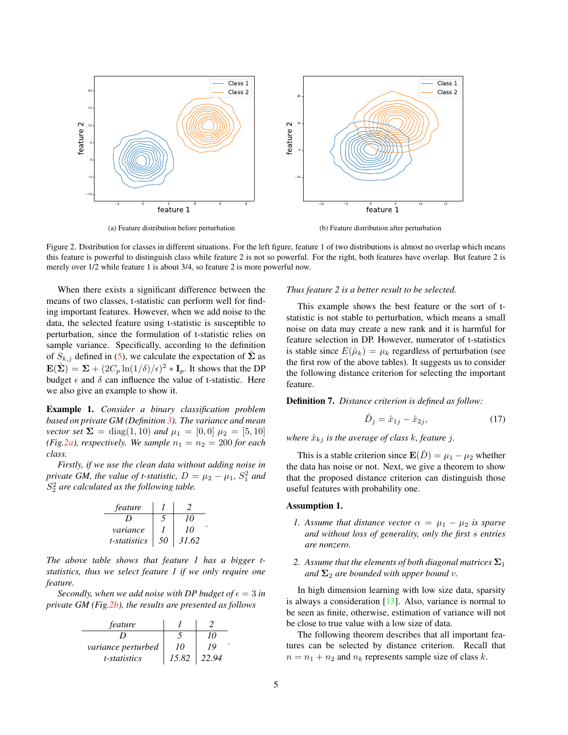<span id="page-4-3"></span><span id="page-4-0"></span>

(b) Feature distribution after perturbation

Figure 2. Distribution for classes in different situations. For the left figure, feature 1 of two distributions is almost no overlap which means this feature is powerful to distinguish class while feature 2 is not so powerful. For the right, both features have overlap. But feature 2 is merely over 1/2 while feature 1 is about 3/4, so feature 2 is more powerful now.

When there exists a significant difference between the means of two classes, t-statistic can perform well for finding important features. However, when we add noise to the data, the selected feature using t-statistic is susceptible to perturbation, since the formulation of t-statistic relies on sample variance. Specifically, according to the definition of  $S_{k,j}$  defined in [\(5\)](#page-2-1), we calculate the expectation of  $\hat{\Sigma}$  as  $\mathbf{E}(\hat{\boldsymbol{\Sigma}}) = \boldsymbol{\Sigma} + (2C_p \ln(1/\delta)/\epsilon)^2 * \mathbf{I}_p$ . It shows that the DP budget  $\epsilon$  and  $\delta$  can influence the value of t-statistic. Here we also give an example to show it.

Example 1. *Consider a binary classification problem based on private GM (Definition [3\)](#page-2-7). The variance and mean vector set*  $\Sigma = \text{diag}(1, 10)$  *and*  $\mu_1 = [0, 0]$   $\mu_2 = [5, 10]$ *(Fig[.2a\)](#page-4-0), respectively. We sample*  $n_1 = n_2 = 200$  *for each class.*

*Firstly, if we use the clean data without adding noise in private GM, the value of t-statistic,*  $D = \mu_2 - \mu_1$ ,  $S_1^2$  *and* S 2 <sup>2</sup> *are calculated as the following table.*

| feature      |    |       |
|--------------|----|-------|
|              |    | 10    |
| variance     |    | 10    |
| t-statistics | 50 | 31.62 |

.

*The above table shows that feature 1 has a bigger tstatistics, thus we select feature 1 if we only require one feature.*

*Secondly, when we add noise with DP budget of*  $\epsilon = 3$  *in private GM (Fig[.2b\)](#page-4-0), the results are presented as follows*

| feature                   |       |       |
|---------------------------|-------|-------|
|                           |       | 10    |
| <i>variance perturbed</i> | 10    | 19    |
| <i>t</i> -statistics      | 15.82 | 22.94 |

#### *Thus feature 2 is a better result to be selected.*

This example shows the best feature or the sort of tstatistic is not stable to perturbation, which means a small noise on data may create a new rank and it is harmful for feature selection in DP. However, numerator of t-statistics is stable since  $E(\hat{\mu}_k) = \mu_k$  regardless of perturbation (see the first row of the above tables). It suggests us to consider the following distance criterion for selecting the important feature.

Definition 7. *Distance criterion is defined as follow:*

$$
\hat{D}_j = \hat{x}_{1j} - \hat{x}_{2j},\tag{17}
$$

*where*  $\hat{x}_{kj}$  *is the average of class k, feature j.* 

This is a stable criterion since  $\mathbf{E}(D) = \mu_1 - \mu_2$  whether the data has noise or not. Next, we give a theorem to show that the proposed distance criterion can distinguish those useful features with probability one.

## <span id="page-4-1"></span>Assumption 1.

- *1.* Assume that distance vector  $\alpha = \mu_1 \mu_2$  is sparse *and without loss of generality, only the first* s *entries are nonzero.*
- 2. Assume that the elements of both diagonal matrices  $\Sigma_1$ *and*  $\Sigma_2$  *are bounded with upper bound v.*

In high dimension learning with low size data, sparsity is always a consideration  $[13]$ . Also, variance is normal to be seen as finite, otherwise, estimation of variance will not be close to true value with a low size of data.

<span id="page-4-2"></span>The following theorem describes that all important features can be selected by distance criterion. Recall that  $n = n_1 + n_2$  and  $n_k$  represents sample size of class k.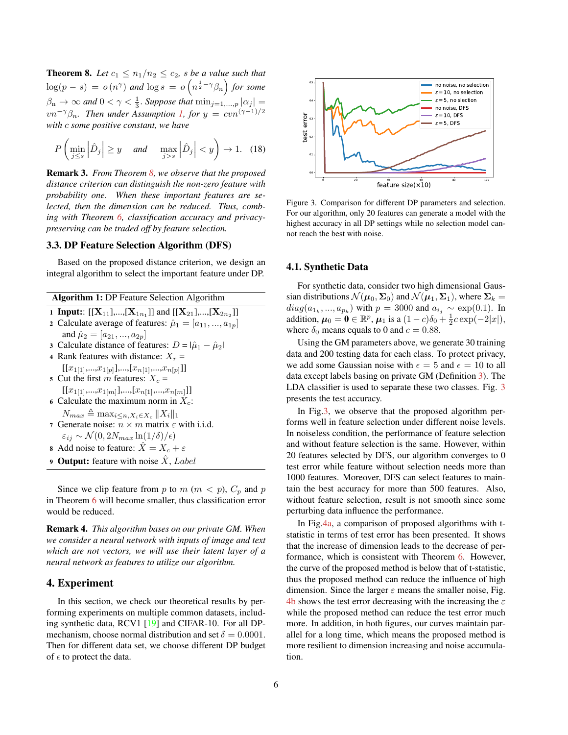<span id="page-5-1"></span>**Theorem 8.** Let  $c_1 \leq n_1/n_2 \leq c_2$ , *s* be a value such that  $\log(p-s) = o(n^{\gamma})$  and  $\log s = o(n^{\frac{1}{2}-\gamma}\beta_n)$  for some  $\beta_n \to \infty$  and  $0 < \gamma < \frac{1}{3}$ . Suppose that  $\min_{j=1,\dots,p} |\alpha_j| =$  $v n^{-\gamma} \beta_n$ *. Then under Assumption [1,](#page-4-1) for*  $y = c v n^{(\gamma-1)/2}$ *with* c *some positive constant, we have*

$$
P\left(\min_{j\leq s} \left|\hat{D}_j\right| \geq y \quad \text{and} \quad \max_{j>s} \left|\hat{D}_j\right| < y\right) \to 1. \tag{18}
$$

Remark 3. *From Theorem [8,](#page-4-2) we observe that the proposed distance criterion can distinguish the non-zero feature with probability one. When these important features are selected, then the dimension can be reduced. Thus, combing with Theorem [6,](#page-3-4) classification accuracy and privacypreserving can be traded off by feature selection.*

## 3.3. DP Feature Selection Algorithm (DFS)

Based on the proposed distance criterion, we design an integral algorithm to select the important feature under DP.

| <b>Algorithm 1: DP Feature Selection Algorithm</b> |                                                                                   |  |  |  |
|----------------------------------------------------|-----------------------------------------------------------------------------------|--|--|--|
|                                                    | 1 <b>Input:</b> [[ $X_{11}$ ],,[ $X_{1n_1}$ ]] and [[ $X_{21}$ ],,[ $X_{2n_2}$ ]] |  |  |  |
|                                                    | 2 Calculate average of features: $\hat{\mu}_1 = [a_{11},,a_{1p}]$                 |  |  |  |
|                                                    | and $\hat{\mu}_2 = [a_{21},, a_{2n}]$                                             |  |  |  |
|                                                    | 3 Calculate distance of features: $D =  \hat{\mu}_1 - \hat{\mu}_2 $               |  |  |  |
|                                                    | 4 Rank features with distance: $X_r =$                                            |  |  |  |
|                                                    | $[[x_{1[1]},,x_{1[p]}],,[x_{n[1]},,x_{n[p]}]]$                                    |  |  |  |
|                                                    | 5 Cut the first m features: $X_c$ =                                               |  |  |  |
|                                                    | $[[x_{1[1]},,x_{1[m]}],,[x_{n[1]},,x_{n[m]}]]$                                    |  |  |  |
|                                                    | 6 Calculate the maximum norm in $X_c$ :                                           |  |  |  |
|                                                    | $N_{max} \triangleq \max_{i \leq n, X_i \in X_c}   X_i  _1$                       |  |  |  |
|                                                    | 7 Generate noise: $n \times m$ matrix $\varepsilon$ with i.i.d.                   |  |  |  |
|                                                    | $\varepsilon_{ij} \sim \mathcal{N}(0, 2N_{max} \ln(1/\delta)/\epsilon)$           |  |  |  |
|                                                    | 8 Add noise to feature: $\ddot{X} = X_c + \varepsilon$                            |  |  |  |
|                                                    | <b>9 Output:</b> feature with noise $\hat{X}$ , Label                             |  |  |  |
|                                                    |                                                                                   |  |  |  |

Since we clip feature from p to  $m$  ( $m < p$ ),  $C_p$  and p in Theorem [6](#page-3-4) will become smaller, thus classification error would be reduced.

Remark 4. *This algorithm bases on our private GM. When we consider a neural network with inputs of image and text which are not vectors, we will use their latent layer of a neural network as features to utilize our algorithm.*

## 4. Experiment

In this section, we check our theoretical results by performing experiments on multiple common datasets, including synthetic data, RCV1 [\[19\]](#page-7-18) and CIFAR-10. For all DPmechanism, choose normal distribution and set  $\delta = 0.0001$ . Then for different data set, we choose different DP budget of  $\epsilon$  to protect the data.

<span id="page-5-0"></span>

Figure 3. Comparison for different DP parameters and selection. For our algorithm, only 20 features can generate a model with the highest accuracy in all DP settings while no selection model cannot reach the best with noise.

#### 4.1. Synthetic Data

For synthetic data, consider two high dimensional Gaussian distributions  $\mathcal{N}(\mu_0, \Sigma_0)$  and  $\mathcal{N}(\mu_1, \Sigma_1)$ , where  $\Sigma_k =$  $diag(a_{1_k},...,a_{p_k})$  with  $p = 3000$  and  $a_{i_j} \sim \exp(0.1)$ . In addition,  $\mu_0 = \mathbf{0} \in \mathbb{R}^p$ ,  $\mu_1$  is a  $(1 - c)\delta_0 + \frac{1}{2}c \exp(-2|x|)$ , where  $\delta_0$  means equals to 0 and  $c = 0.88$ .

Using the GM parameters above, we generate 30 training data and 200 testing data for each class. To protect privacy, we add some Gaussian noise with  $\epsilon = 5$  and  $\epsilon = 10$  to all data except labels basing on private GM (Definition [3\)](#page-2-7). The LDA classifier is used to separate these two classes. Fig. [3](#page-5-0) presents the test accuracy.

In Fig[.3,](#page-5-0) we observe that the proposed algorithm performs well in feature selection under different noise levels. In noiseless condition, the performance of feature selection and without feature selection is the same. However, within 20 features selected by DFS, our algorithm converges to 0 test error while feature without selection needs more than 1000 features. Moreover, DFS can select features to maintain the best accuracy for more than 500 features. Also, without feature selection, result is not smooth since some perturbing data influence the performance.

In Fig[.4a,](#page-6-0) a comparison of proposed algorithms with tstatistic in terms of test error has been presented. It shows that the increase of dimension leads to the decrease of performance, which is consistent with Theorem [6.](#page-3-4) However, the curve of the proposed method is below that of t-statistic, thus the proposed method can reduce the influence of high dimension. Since the larger  $\varepsilon$  means the smaller noise, Fig. [4b](#page-6-0) shows the test error decreasing with the increasing the  $\varepsilon$ while the proposed method can reduce the test error much more. In addition, in both figures, our curves maintain parallel for a long time, which means the proposed method is more resilient to dimension increasing and noise accumulation.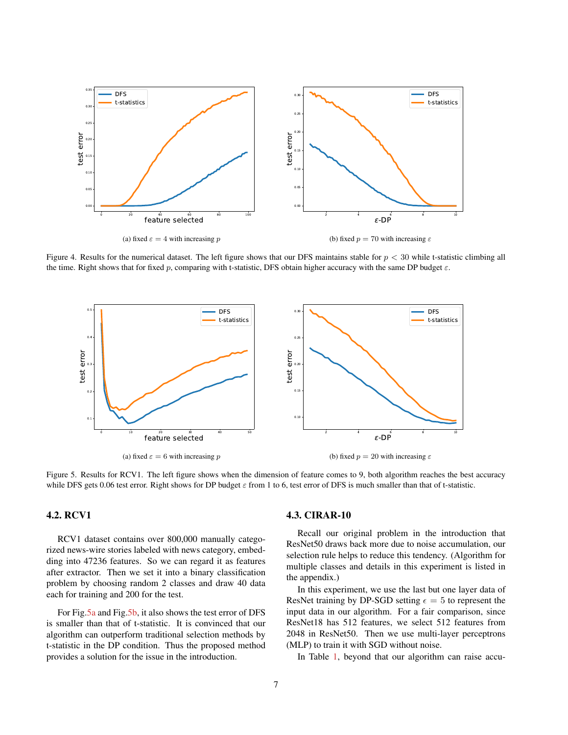<span id="page-6-0"></span>

Figure 4. Results for the numerical dataset. The left figure shows that our DFS maintains stable for  $p < 30$  while t-statistic climbing all the time. Right shows that for fixed p, comparing with t-statistic, DFS obtain higher accuracy with the same DP budget  $\varepsilon$ .

<span id="page-6-1"></span>

Figure 5. Results for RCV1. The left figure shows when the dimension of feature comes to 9, both algorithm reaches the best accuracy while DFS gets 0.06 test error. Right shows for DP budget  $\varepsilon$  from 1 to 6, test error of DFS is much smaller than that of t-statistic.

# 4.2. RCV1

RCV1 dataset contains over 800,000 manually categorized news-wire stories labeled with news category, embedding into 47236 features. So we can regard it as features after extractor. Then we set it into a binary classification problem by choosing random 2 classes and draw 40 data each for training and 200 for the test.

For Fig[.5a](#page-6-1) and Fig[.5b,](#page-6-1) it also shows the test error of DFS is smaller than that of t-statistic. It is convinced that our algorithm can outperform traditional selection methods by t-statistic in the DP condition. Thus the proposed method provides a solution for the issue in the introduction.

# 4.3. CIRAR-10

Recall our original problem in the introduction that ResNet50 draws back more due to noise accumulation, our selection rule helps to reduce this tendency. (Algorithm for multiple classes and details in this experiment is listed in the appendix.)

In this experiment, we use the last but one layer data of ResNet training by DP-SGD setting  $\epsilon = 5$  to represent the input data in our algorithm. For a fair comparison, since ResNet18 has 512 features, we select 512 features from 2048 in ResNet50. Then we use multi-layer perceptrons (MLP) to train it with SGD without noise.

In Table [1,](#page-7-19) beyond that our algorithm can raise accu-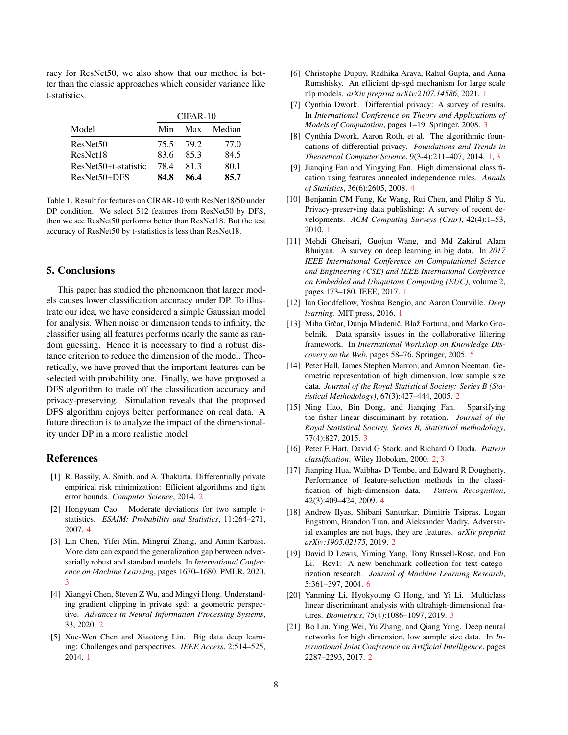racy for ResNet50, we also show that our method is better than the classic approaches which consider variance like t-statistics.

<span id="page-7-19"></span>

|                      | $CIFAR-10$ |      |        |
|----------------------|------------|------|--------|
| Model                | Min        | Max  | Median |
| ResNet <sub>50</sub> | 75.5       | 79.2 | 77.0   |
| ResNet18             | 83.6       | 85.3 | 84.5   |
| ResNet50+t-statistic | 784        | 81.3 | 80.1   |
| ResNet50+DFS         | 84.8       | 86.4 | 85.7   |

Table 1. Result for features on CIRAR-10 with ResNet18/50 under DP condition. We select 512 features from ResNet50 by DFS, then we see ResNet50 performs better than ResNet18. But the test accuracy of ResNet50 by t-statistics is less than ResNet18.

#### 5. Conclusions

This paper has studied the phenomenon that larger models causes lower classification accuracy under DP. To illustrate our idea, we have considered a simple Gaussian model for analysis. When noise or dimension tends to infinity, the classifier using all features performs nearly the same as random guessing. Hence it is necessary to find a robust distance criterion to reduce the dimension of the model. Theoretically, we have proved that the important features can be selected with probability one. Finally, we have proposed a DFS algorithm to trade off the classification accuracy and privacy-preserving. Simulation reveals that the proposed DFS algorithm enjoys better performance on real data. A future direction is to analyze the impact of the dimensionality under DP in a more realistic model.

## References

- <span id="page-7-7"></span>[1] R. Bassily, A. Smith, and A. Thakurta. Differentially private empirical risk minimization: Efficient algorithms and tight error bounds. *Computer Science*, 2014. [2](#page-1-1)
- <span id="page-7-21"></span>[2] Hongyuan Cao. Moderate deviations for two sample tstatistics. *ESAIM: Probability and Statistics*, 11:264–271, 2007. [4](#page-3-6)
- <span id="page-7-13"></span>[3] Lin Chen, Yifei Min, Mingrui Zhang, and Amin Karbasi. More data can expand the generalization gap between adversarially robust and standard models. In *International Conference on Machine Learning*, pages 1670–1680. PMLR, 2020. [3](#page-2-8)
- <span id="page-7-6"></span>[4] Xiangyi Chen, Steven Z Wu, and Mingyi Hong. Understanding gradient clipping in private sgd: a geometric perspective. *Advances in Neural Information Processing Systems*, 33, 2020. [2](#page-1-1)
- <span id="page-7-3"></span>[5] Xue-Wen Chen and Xiaotong Lin. Big data deep learning: Challenges and perspectives. *IEEE Access*, 2:514–525, 2014. [1](#page-0-0)
- <span id="page-7-4"></span>[6] Christophe Dupuy, Radhika Arava, Rahul Gupta, and Anna Rumshisky. An efficient dp-sgd mechanism for large scale nlp models. *arXiv preprint arXiv:2107.14586*, 2021. [1](#page-0-0)
- <span id="page-7-12"></span>[7] Cynthia Dwork. Differential privacy: A survey of results. In *International Conference on Theory and Applications of Models of Computation*, pages 1–19. Springer, 2008. [3](#page-2-8)
- <span id="page-7-2"></span>[8] Cynthia Dwork, Aaron Roth, et al. The algorithmic foundations of differential privacy. *Foundations and Trends in Theoretical Computer Science*, 9(3-4):211–407, 2014. [1,](#page-0-0) [3](#page-2-8)
- <span id="page-7-15"></span>[9] Jianqing Fan and Yingying Fan. High dimensional classification using features annealed independence rules. *Annals of Statistics*, 36(6):2605, 2008. [4](#page-3-6)
- <span id="page-7-1"></span>[10] Benjamin CM Fung, Ke Wang, Rui Chen, and Philip S Yu. Privacy-preserving data publishing: A survey of recent developments. *ACM Computing Surveys (Csur)*, 42(4):1–53, 2010. [1](#page-0-0)
- <span id="page-7-0"></span>[11] Mehdi Gheisari, Guojun Wang, and Md Zakirul Alam Bhuiyan. A survey on deep learning in big data. In *2017 IEEE International Conference on Computational Science and Engineering (CSE) and IEEE International Conference on Embedded and Ubiquitous Computing (EUC)*, volume 2, pages 173–180. IEEE, 2017. [1](#page-0-0)
- <span id="page-7-5"></span>[12] Ian Goodfellow, Yoshua Bengio, and Aaron Courville. *Deep learning*. MIT press, 2016. [1](#page-0-0)
- <span id="page-7-17"></span>[13] Miha Grčar, Dunja Mladenič, Blaž Fortuna, and Marko Grobelnik. Data sparsity issues in the collaborative filtering framework. In *International Workshop on Knowledge Discovery on the Web*, pages 58–76. Springer, 2005. [5](#page-4-3)
- <span id="page-7-8"></span>[14] Peter Hall, James Stephen Marron, and Amnon Neeman. Geometric representation of high dimension, low sample size data. *Journal of the Royal Statistical Society: Series B (Statistical Methodology)*, 67(3):427–444, 2005. [2](#page-1-1)
- <span id="page-7-14"></span>[15] Ning Hao, Bin Dong, and Jianqing Fan. Sparsifying the fisher linear discriminant by rotation. *Journal of the Royal Statistical Society. Series B, Statistical methodology*, 77(4):827, 2015. [3](#page-2-8)
- <span id="page-7-10"></span>[16] Peter E Hart, David G Stork, and Richard O Duda. *Pattern classification*. Wiley Hoboken, 2000. [2,](#page-1-1) [3](#page-2-8)
- <span id="page-7-16"></span>[17] Jianping Hua, Waibhav D Tembe, and Edward R Dougherty. Performance of feature-selection methods in the classification of high-dimension data. *Pattern Recognition*, 42(3):409–424, 2009. [4](#page-3-6)
- <span id="page-7-11"></span>[18] Andrew Ilyas, Shibani Santurkar, Dimitris Tsipras, Logan Engstrom, Brandon Tran, and Aleksander Madry. Adversarial examples are not bugs, they are features. *arXiv preprint arXiv:1905.02175*, 2019. [2](#page-1-1)
- <span id="page-7-18"></span>[19] David D Lewis, Yiming Yang, Tony Russell-Rose, and Fan Li. Rcv1: A new benchmark collection for text categorization research. *Journal of Machine Learning Research*, 5:361–397, 2004. [6](#page-5-1)
- <span id="page-7-20"></span>[20] Yanming Li, Hyokyoung G Hong, and Yi Li. Multiclass linear discriminant analysis with ultrahigh-dimensional features. *Biometrics*, 75(4):1086–1097, 2019. [3](#page-2-8)
- <span id="page-7-9"></span>[21] Bo Liu, Ying Wei, Yu Zhang, and Qiang Yang. Deep neural networks for high dimension, low sample size data. In *International Joint Conference on Artificial Intelligence*, pages 2287–2293, 2017. [2](#page-1-1)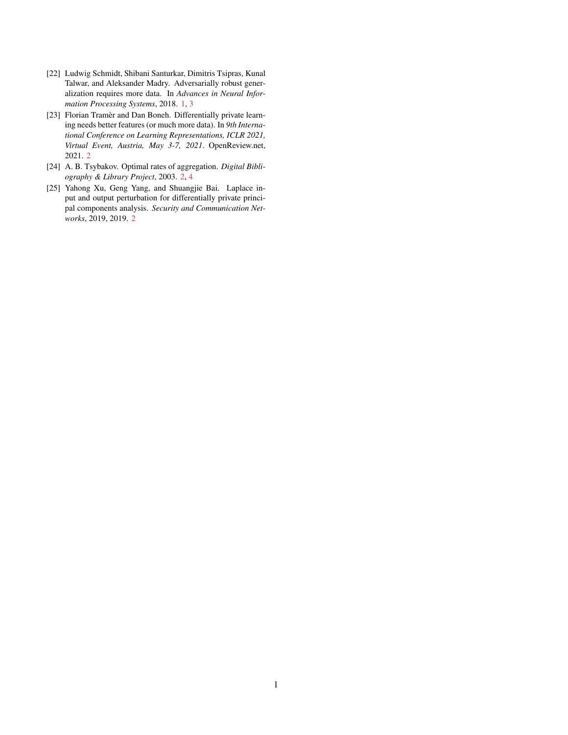- <span id="page-8-0"></span>[22] Ludwig Schmidt, Shibani Santurkar, Dimitris Tsipras, Kunal Talwar, and Aleksander Madry. Adversarially robust generalization requires more data. In *Advances in Neural Information Processing Systems*, 2018. [1,](#page-0-0) [3](#page-2-8)
- <span id="page-8-2"></span>[23] Florian Tramèr and Dan Boneh. Differentially private learning needs better features (or much more data). In *9th International Conference on Learning Representations, ICLR 2021, Virtual Event, Austria, May 3-7, 2021*. OpenReview.net, 2021. [2](#page-1-1)
- <span id="page-8-3"></span>[24] A. B. Tsybakov. Optimal rates of aggregation. *Digital Bibliography & Library Project*, 2003. [2,](#page-1-1) [4](#page-3-6)
- <span id="page-8-1"></span>[25] Yahong Xu, Geng Yang, and Shuangjie Bai. Laplace input and output perturbation for differentially private principal components analysis. *Security and Communication Networks*, 2019, 2019. [2](#page-1-1)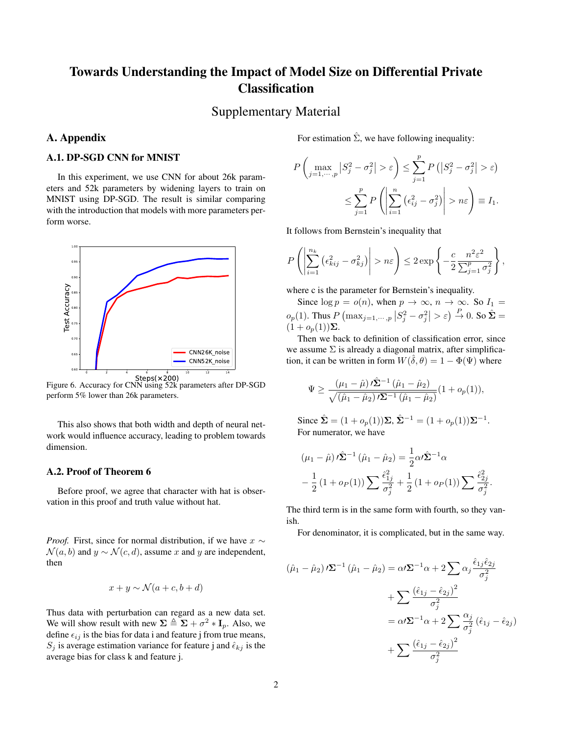# Towards Understanding the Impact of Model Size on Differential Private **Classification**

Supplementary Material

# A. Appendix

# A.1. DP-SGD CNN for MNIST

In this experiment, we use CNN for about 26k parameters and 52k parameters by widening layers to train on MNIST using DP-SGD. The result is similar comparing with the introduction that models with more parameters perform worse.



perform 5% lower than 26k parameters.

This also shows that both width and depth of neural network would influence accuracy, leading to problem towards dimension.

## A.2. Proof of Theorem 6

Before proof, we agree that character with hat is observation in this proof and truth value without hat.

*Proof.* First, since for normal distribution, if we have  $x \sim$  $\mathcal{N}(a, b)$  and  $y \sim \mathcal{N}(c, d)$ , assume x and y are independent, then

$$
x + y \sim \mathcal{N}(a + c, b + d)
$$

Thus data with perturbation can regard as a new data set. We will show result with new  $\Sigma \triangleq \Sigma + \sigma^2 * I_p$ . Also, we define  $\epsilon_{ij}$  is the bias for data i and feature j from true means,  $S_j$  is average estimation variance for feature j and  $\hat{\epsilon}_{kj}$  is the average bias for class k and feature j.

For estimation  $\hat{\Sigma}$ , we have following inequality:

$$
P\left(\max_{j=1,\dots,p}|S_j^2 - \sigma_j^2| > \varepsilon\right) \le \sum_{j=1}^p P\left(|S_j^2 - \sigma_j^2| > \varepsilon\right)
$$
  

$$
\le \sum_{j=1}^p P\left(\left|\sum_{i=1}^n \left(\epsilon_{ij}^2 - \sigma_j^2\right)\right| > n\varepsilon\right) \equiv I_1.
$$

It follows from Bernstein's inequality that

$$
P\left(\left|\sum_{i=1}^{n_k} \left(\epsilon_{kij}^2 - \sigma_{kj}^2\right)\right| > n\varepsilon\right) \le 2 \exp\left\{-\frac{c}{2} \frac{n^2 \varepsilon^2}{\sum_{j=1}^p \sigma_j^2}\right\},\,
$$

where c is the parameter for Bernstein's inequality.

Since  $\log p = o(n)$ , when  $p \to \infty$ ,  $n \to \infty$ . So  $I_1 =$  $o_p(1)$ . Thus  $P\left(\max_{j=1,\dots,p}|S_j^2-\sigma_j^2|>\varepsilon\right)\stackrel{P}{\to}0$ . So  $\hat{\Sigma}=$  $(1 + o_p(1))\Sigma$ .

Then we back to definition of classification error, since we assume  $\Sigma$  is already a diagonal matrix, after simplification, it can be written in form  $W(\hat{\delta}, \theta) = 1 - \Phi(\Psi)$  where

$$
\Psi \geq \frac{(\mu_1 - \hat{\mu}) \, \hat{\Sigma}^{-1} \, (\hat{\mu}_1 - \hat{\mu}_2)}{\sqrt{(\hat{\mu}_1 - \hat{\mu}_2) \, \hat{\Sigma}^{-1} \, (\hat{\mu}_1 - \hat{\mu}_2)}} (1 + o_p(1)),
$$

Since  $\hat{\Sigma} = (1 + o_p(1))\Sigma, \hat{\Sigma}^{-1} = (1 + o_p(1))\Sigma^{-1}.$ For numerator, we have

$$
(\mu_1 - \hat{\mu}) \hat{\Sigma}^{-1} (\hat{\mu}_1 - \hat{\mu}_2) = \frac{1}{2} \alpha \hat{\Sigma}^{-1} \alpha
$$
  

$$
-\frac{1}{2} (1 + o_P(1)) \sum \frac{\hat{\epsilon}_{1j}^2}{\sigma_j^2} + \frac{1}{2} (1 + o_P(1)) \sum \frac{\hat{\epsilon}_{2j}^2}{\sigma_j^2}.
$$

The third term is in the same form with fourth, so they vanish.

For denominator, it is complicated, but in the same way.

$$
(\hat{\mu}_1 - \hat{\mu}_2) \mathbf{Z}^{-1} (\hat{\mu}_1 - \hat{\mu}_2) = \alpha \mathbf{Z}^{-1} \alpha + 2 \sum \alpha_j \frac{\hat{\epsilon}_{1j} \hat{\epsilon}_{2j}}{\sigma_j^2} + \sum \frac{(\hat{\epsilon}_{1j} - \hat{\epsilon}_{2j})^2}{\sigma_j^2} = \alpha \mathbf{Z}^{-1} \alpha + 2 \sum \frac{\alpha_j}{\sigma_j^2} (\hat{\epsilon}_{1j} - \hat{\epsilon}_{2j}) + \sum \frac{(\hat{\epsilon}_{1j} - \hat{\epsilon}_{2j})^2}{\sigma_j^2}
$$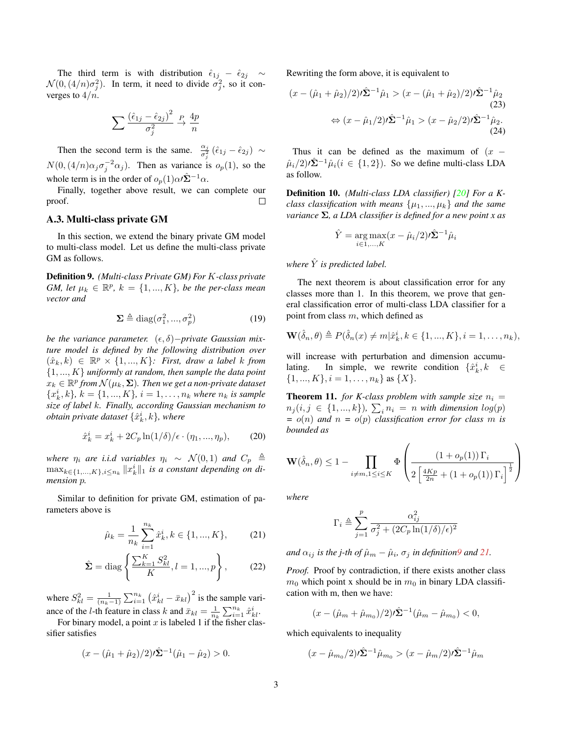The third term is with distribution  $\hat{\epsilon}_{1j} - \hat{\epsilon}_{2j} \sim$  $\mathcal{N}(0, (4/n)\sigma_j^2)$ . In term, it need to divide  $\sigma_j^2$ , so it converges to  $4/n$ .

$$
\sum \frac{\left(\hat{\epsilon}_{1j} - \hat{\epsilon}_{2j}\right)^2}{\sigma_j^2} \stackrel{P}{\rightarrow} \frac{4p}{n}
$$

Then the second term is the same.  $\frac{\alpha_j}{\sigma_j^2}(\hat{\epsilon}_{1j} - \hat{\epsilon}_{2j}) \sim$  $N(0, (4/n)\alpha_j \sigma_j^{-2} \alpha_j)$ . Then as variance is  $o_p(1)$ , so the whole term is in the order of  $o_p(1)\alpha\hat{\Sigma}^{-1}\alpha$ .

Finally, together above result, we can complete our proof.  $\Box$ 

#### A.3. Multi-class private GM

In this section, we extend the binary private GM model to multi-class model. Let us define the multi-class private GM as follows.

<span id="page-10-0"></span>Definition 9. *(Multi-class Private GM) For* K*-class private GM, let*  $\mu_k \in \mathbb{R}^p$ ,  $k = \{1, ..., K\}$ , be the per-class mean *vector and*

$$
\Sigma \triangleq \text{diag}(\sigma_1^2, ..., \sigma_p^2) \tag{19}
$$

*be the variance parameter.*  $(\epsilon, \delta)$ *-private Gaussian mixture model is defined by the following distribution over*  $(\hat{x}_k, k) \in \mathbb{R}^p \times \{1, ..., K\}$ : First, draw a label k from {1, ..., K} *uniformly at random, then sample the data point*  $\hat{x}_k \in \mathbb{R}^p$  from  $\mathcal{N}(\mu_k, \mathbf{\Sigma})$ . Then we get a non-private dataset  ${x_k^i, k}$ *,*  $k = \{1, ..., K\}$ *,*  $i = 1, ..., n_k$  where  $n_k$  is sample *size of label* k*. Finally, according Gaussian mechanism to*  $obtain$  private dataset  $\{\hat{x}_{k}^{i},k\}$ , where

$$
\hat{x}_{k}^{i} = x_{k}^{i} + 2C_{p} \ln(1/\delta) / \epsilon \cdot (\eta_{1}, ..., \eta_{p}), \qquad (20)
$$

*where*  $\eta_i$  *are i.i.d variables*  $\eta_i \sim \mathcal{N}(0, 1)$  *and*  $C_p \triangleq$  $\max_{k \in \{1,...,K\}, i \leq n_k} \|x^i_k\|_1$  is a constant depending on di*mension* p*.*

Similar to definition for private GM, estimation of parameters above is

$$
\hat{\mu}_k = \frac{1}{n_k} \sum_{i=1}^{n_k} \hat{x}_k^i, k \in \{1, ..., K\},\tag{21}
$$

$$
\hat{\Sigma} = \text{diag}\left\{\frac{\sum_{k=1}^{K} S_{kl}^2}{K}, l = 1, ..., p\right\},\qquad(22)
$$

where  $S_{kl}^2 = \frac{1}{(n_k-1)} \sum_{i=1}^{n_k} (\hat{x}_{kl}^i - \bar{x}_{kl})^2$  is the sample variance of the *l*-th feature in class *k* and  $\bar{x}_{kl} = \frac{1}{n_k} \sum_{i=1}^{n_k} \hat{x}_{kl}^i$ .

For binary model, a point  $x$  is labeled 1 if the fisher classifier satisfies

$$
(x - (\hat{\mu}_1 + \hat{\mu}_2)/2)\hat{\Sigma}^{-1}(\hat{\mu}_1 - \hat{\mu}_2) > 0.
$$

Rewriting the form above, it is equivalent to

$$
(x - (\hat{\mu}_1 + \hat{\mu}_2)/2)\hat{\Sigma}^{-1}\hat{\mu}_1 > (x - (\hat{\mu}_1 + \hat{\mu}_2)/2)\hat{\Sigma}^{-1}\hat{\mu}_2
$$
  
(23)  

$$
\Leftrightarrow (x - \hat{\mu}_1/2)\hat{\Sigma}^{-1}\hat{\mu}_1 > (x - \hat{\mu}_2/2)\hat{\Sigma}^{-1}\hat{\mu}_2.
$$
  
(24)

Thus it can be defined as the maximum of  $(x (\hat{\mu}_i/2)$  $(\hat{\Sigma}^{-1}\hat{\mu}_i (i \in \{1,2\})$ . So we define multi-class LDA as follow.

Definition 10. *(Multi-class LDA classifier) [\[20\]](#page-7-20) For a Kclass classification with means*  $\{\mu_1, ..., \mu_k\}$  *and the same variance* Σ*, a LDA classifier is defined for a new point x as*

<span id="page-10-2"></span>
$$
\hat{Y} = \underset{i \in 1, ..., K}{\arg \max} (x - \hat{\mu}_i/2) \hat{\Sigma}^{-1} \hat{\mu}_i
$$

*where*  $\hat{Y}$  *is predicted label.* 

The next theorem is about classification error for any classes more than 1. In this theorem, we prove that general classification error of multi-class LDA classifier for a point from class  $m$ , which defined as

$$
\mathbf{W}(\hat{\delta}_n, \theta) \triangleq P(\hat{\delta}_n(x) \neq m | \hat{x}_k^i, k \in \{1, ..., K\}, i = 1, ..., n_k),
$$

will increase with perturbation and dimension accumulating. In simple, we rewrite condition  $\{\hat{x}_k^i, k \in \mathbb{R}\}$  $\{1, ..., K\}, i = 1, ..., n_k$  as  $\{X\}.$ 

**Theorem 11.** *for K-class problem with sample size*  $n_i =$  $n_j (i, j \in \{1, ..., k\})$ ,  $\sum_i n_i = n$  with dimension  $log(p)$  $= o(n)$  *and*  $n = o(p)$  *classification error for class* m *is bounded as*

$$
\mathbf{W}(\hat{\delta}_n, \theta) \le 1 - \prod_{i \ne m, 1 \le i \le K} \Phi\left(\frac{\left(1 + o_p(1)\right) \Gamma_i}{2\left[\frac{4Kp}{2n} + \left(1 + o_p(1)\right) \Gamma_i\right]^{\frac{1}{2}}}\right)
$$

*where*

$$
\Gamma_i \triangleq \sum_{j=1}^p \frac{\alpha_{ij}^2}{\sigma_j^2 + (2C_p \ln(1/\delta)/\epsilon)^2}
$$

<span id="page-10-1"></span>*and*  $\alpha_{ij}$  *is the j-th of*  $\hat{\mu}_m - \hat{\mu}_i$ ,  $\sigma_j$  *in definitio[n9](#page-10-0) and [21.](#page-10-1)* 

*Proof.* Proof by contradiction, if there exists another class  $m_0$  which point x should be in  $m_0$  in binary LDA classification with m, then we have:

$$
(x - (\hat{\mu}_m + \hat{\mu}_{m_0})/2) \mathbf{1} \hat{\Sigma}^{-1} (\hat{\mu}_m - \hat{\mu}_{m_0}) < 0,
$$

which equivalents to inequality

$$
(x - \hat{\mu}_{m_0}/2)\hat{\Sigma}^{-1}\hat{\mu}_{m_0} > (x - \hat{\mu}_m/2)\hat{\Sigma}^{-1}\hat{\mu}_m
$$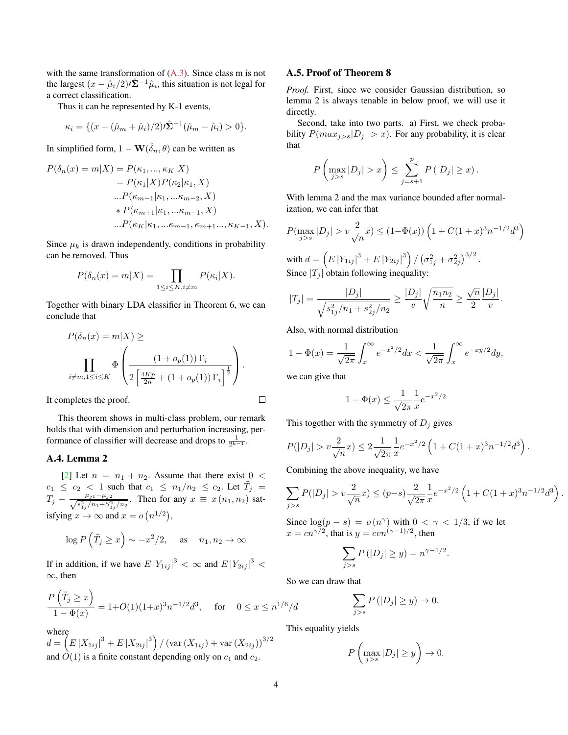with the same transformation of  $(A.3)$ . Since class m is not the largest  $(x - \hat{\mu}_i/2) \hat{\Sigma}^{-1} \hat{\mu}_i$ , this situation is not legal for a correct classification.

Thus it can be represented by K-1 events,

$$
\kappa_i = \{ (x - (\hat{\mu}_m + \hat{\mu}_i)/2) \hat{\Sigma}^{-1} (\hat{\mu}_m - \hat{\mu}_i) > 0 \}.
$$

In simplified form,  $1 - \mathbf{W}(\hat{\delta}_n, \theta)$  can be written as

$$
P(\delta_n(x) = m|X) = P(\kappa_1, ..., \kappa_K|X)
$$
  
=  $P(\kappa_1|X)P(\kappa_2|\kappa_1, X)$   
... $P(\kappa_{m-1}|\kappa_1, ..., \kappa_{m-2}, X)$   
\*  $P(\kappa_{m+1}|\kappa_1, ..., \kappa_{m-1}, X)$   
... $P(\kappa_K|\kappa_1, ..., \kappa_{m-1}, \kappa_{m+1}..., \kappa_{K-1}, X).$ 

Since  $\mu_k$  is drawn independently, conditions in probability can be removed. Thus

$$
P(\delta_n(x) = m|X) = \prod_{1 \le i \le K, i \ne m} P(\kappa_i|X).
$$

Together with binary LDA classifier in Theorem 6, we can conclude that

$$
P(\delta_n(x) = m|X) \ge
$$
  

$$
\prod_{i \neq m, 1 \leq i \leq K} \Phi\left(\frac{(1 + o_p(1))\Gamma_i}{2\left[\frac{4Kp}{2n} + (1 + o_p(1))\Gamma_i\right]^{\frac{1}{2}}}\right).
$$

It completes the proof.

This theorem shows in multi-class problem, our remark holds that with dimension and perturbation increasing, performance of classifier will decrease and drops to  $\frac{1}{2^{k-1}}$ .

# A.4. Lemma 2

[\[2\]](#page-7-21) Let  $n = n_1 + n_2$ . Assume that there exist  $0 <$  $c_1 \leq c_2 < 1$  such that  $c_1 \leq n_1/n_2 \leq c_2$ . Let  $\tilde{T}_j =$  $T_j - \frac{\mu_{j1} - \mu_{j2}}{\sqrt{a^2 + \mu_{j1} + a^2}}$  $\frac{\mu_{j1}-\mu_{j2}}{s_{1j}^2/n_1+S_{1j}^2/n_2}$ . Then for any  $x \equiv x(n_1, n_2)$  satisfying  $x \to \infty$  and  $x = o(n^{1/2})$ ,

$$
\log P\left(\tilde{T}_j \ge x\right) \sim -x^2/2, \quad \text{as} \quad n_1, n_2 \to \infty
$$

If in addition, if we have  $E |Y_{1ij}|^3 < \infty$  and  $E |Y_{2ij}|^3 <$ ∞, then

$$
\frac{P(\tilde{T}_j \ge x)}{1 - \Phi(x)} = 1 + O(1)(1+x)^3 n^{-1/2} d^3, \quad \text{for} \quad 0 \le x \le n^{1/6}/d
$$

where

 $d=\left(E\left|X_{1ij}\right|^3+E\left|X_{2ij}\right|^3\right)/\left(\operatorname{var}\left(X_{1ij}\right)+\operatorname{var}\left(X_{2ij}\right)\right)^{3/2}$ and  $\dot{O}(1)$  is a finite constant depending only on  $c_1$  and  $c_2$ .

#### A.5. Proof of Theorem 8

*Proof.* First, since we consider Gaussian distribution, so lemma 2 is always tenable in below proof, we will use it directly.

Second, take into two parts. a) First, we check probability  $P(max_{j>s}|D_j| > x)$ . For any probability, it is clear that

$$
P\left(\max_{j>s}|D_j|>x\right)\leq \sum_{j=s+1}^p P(|D_j|\geq x).
$$

With lemma 2 and the max variance bounded after normalization, we can infer that

$$
P(\max_{j>s}|D_j| > v\frac{2}{\sqrt{n}}x) \le (1-\Phi(x))\left(1 + C(1+x)^3 n^{-1/2}d^3\right)
$$

with  $d = \left( E \left| Y_{1ij} \right|^3 + E \left| Y_{2ij} \right|^3 \right) / \left( \sigma_{1j}^2 + \sigma_{2j}^2 \right)^{3/2}$ . Since  $|T_i|$  obtain following inequality:

$$
|T_j| = \frac{|D_j|}{\sqrt{s_{1j}^2/n_1 + s_{2j}^2/n_2}} \ge \frac{|D_j|}{v} \sqrt{\frac{n_1 n_2}{n}} \ge \frac{\sqrt{n}}{2} \frac{|D_j|}{v}.
$$

Also, with normal distribution

$$
1 - \Phi(x) = \frac{1}{\sqrt{2\pi}} \int_x^{\infty} e^{-x^2/2} dx < \frac{1}{\sqrt{2\pi}} \int_x^{\infty} e^{-xy/2} dy,
$$

we can give that

 $\Box$ 

$$
1 - \Phi(x) \le \frac{1}{\sqrt{2\pi}} \frac{1}{x} e^{-x^2/2}
$$

This together with the symmetry of  $D_j$  gives

$$
P(|D_j| > v\frac{2}{\sqrt{n}}x) \le 2\frac{1}{\sqrt{2\pi}}\frac{1}{x}e^{-x^2/2}\left(1 + C(1+x)^3n^{-1/2}d^3\right).
$$

Combining the above inequality, we have

$$
\sum_{j>s} P(|D_j| > v \frac{2}{\sqrt{n}} x) \le (p-s) \frac{2}{\sqrt{2\pi}} \frac{1}{x} e^{-x^2/2} \left( 1 + C(1+x)^3 n^{-1/2} d^3 \right)
$$

.

Since  $\log(p - s) = o(n^{\gamma})$  with  $0 < \gamma < 1/3$ , if we let  $x = cn^{\gamma/2}$ , that is  $y = cvn^{(\gamma-1)/2}$ , then

$$
\sum_{j>s} P(|D_j| \ge y) = n^{\gamma - 1/2}.
$$

So we can draw that

$$
\sum_{j>s} P(|D_j| \ge y) \to 0.
$$

This equality yields

$$
P\left(\max_{j>s}|D_j|\geq y\right)\to 0.
$$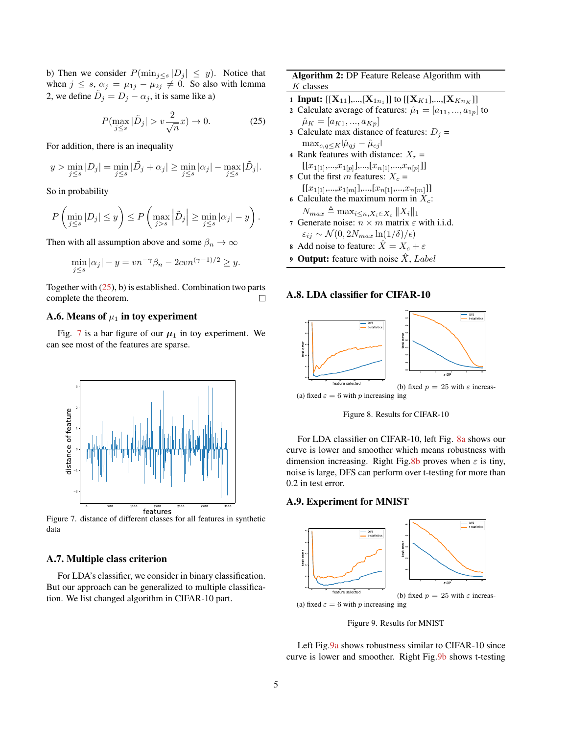b) Then we consider  $P(\min_{j\leq s}|D_j| \leq y)$ . Notice that when  $j \leq s$ ,  $\alpha_j = \mu_{1j} - \mu_{2j} \neq 0$ . So also with lemma 2, we define  $\tilde{D}_j = D_j - \alpha_j$ , it is same like a)

<span id="page-12-0"></span>
$$
P(\max_{j\leq s} |\tilde{D}_j| > v\frac{2}{\sqrt{n}}x) \to 0.
$$
 (25)

For addition, there is an inequality

$$
y > \min_{j \le s} |D_j| = \min_{j \le s} |\tilde{D}_j + \alpha_j| \ge \min_{j \le s} |\alpha_j| - \max_{j \le s} |\tilde{D}_j|.
$$

So in probability

$$
P\left(\min_{j\leq s}|D_j|\leq y\right)\leq P\left(\max_{j>s}\left|\tilde{D}_j\right|\geq \min_{j\leq s}|\alpha_j|-y\right).
$$

Then with all assumption above and some  $\beta_n \to \infty$ 

$$
\min_{j \le s} |\alpha_j| - y = v n^{-\gamma} \beta_n - 2cv n^{(\gamma - 1)/2} \ge y.
$$

Together with  $(25)$ , b) is established. Combination two parts complete the theorem.  $\Box$ 

# A.6. Means of  $\mu_1$  in toy experiment

<span id="page-12-1"></span>Fig. [7](#page-12-1) is a bar figure of our  $\mu_1$  in toy experiment. We can see most of the features are sparse.



Figure 7. distance of different classes for all features in synthetic data

## A.7. Multiple class criterion

For LDA's classifier, we consider in binary classification. But our approach can be generalized to multiple classification. We list changed algorithm in CIFAR-10 part.

## Algorithm 2: DP Feature Release Algorithm with  $K$  classes

1 **Input:** [[ $\mathbf{X}_{11}$ ],...,[ $\mathbf{X}_{1n_1}$ ]] to [[ $\mathbf{X}_{K1}$ ],...,[ $\mathbf{X}_{Kn_K}$ ]]

- 2 Calculate average of features:  $\hat{\mu}_1 = [a_{11},..., a_{1p}]$  to  $\hat{\mu}_K = [a_{K1},...,a_{Kp}]$
- 3 Calculate max distance of features:  $D_i$  =  $\max_{c,q\leq K}|\hat{\mu}_{qj} - \hat{\mu}_{cj}|$
- 4 Rank features with distance:  $X_r =$  $[[x_{1[1]},...,x_{1[p]}],...,[x_{n[1]},...,x_{n[p]}]]$
- 5 Cut the first m features:  $X_c$  =  $[[x_{1[1]},...,x_{1[m]}],...,[x_{n[1]},...,x_{n[m]}]]$
- 6 Calculate the maximum norm in  $X_c$ :  $N_{max} \triangleq \max_{i \leq n, X_i \in X_c} ||X_i||_1$
- 7 Generate noise:  $n \times m$  matrix  $\varepsilon$  with i.i.d.  $\varepsilon_{ij} \sim \mathcal{N}(0, 2N_{max} \ln(1/\delta)/\epsilon)$
- 8 Add noise to feature:  $\hat{X} = X_c + \varepsilon$
- **9 Output:** feature with noise  $\hat{X}$ , Label

#### A.8. LDA classifier for CIFAR-10

<span id="page-12-2"></span>

Figure 8. Results for CIFAR-10

For LDA classifier on CIFAR-10, left Fig. [8a](#page-12-2) shows our curve is lower and smoother which means robustness with dimension increasing. Right Fig[.8b](#page-12-2) proves when  $\varepsilon$  is tiny, noise is large, DFS can perform over t-testing for more than 0.2 in test error.

#### A.9. Experiment for MNIST

<span id="page-12-3"></span>

Figure 9. Results for MNIST

Left Fig. 9a shows robustness similar to CIFAR-10 since curve is lower and smoother. Right Fig[.9b](#page-12-3) shows t-testing